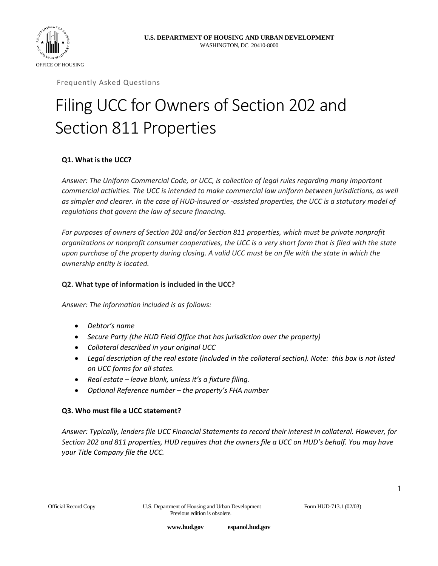



Frequently Asked Questions

# Filing UCC for Owners of Section 202 and Section 811 Properties

# **Q1. What is the UCC?**

*Answer: The Uniform Commercial Code, or UCC, is collection of legal rules regarding many important commercial activities. The UCC is intended to make commercial law uniform between jurisdictions, as well as simpler and clearer. In the case of HUD-insured or -assisted properties, the UCC is a statutory model of regulations that govern the law of secure financing.* 

*For purposes of owners of Section 202 and/or Section 811 properties, which must be private nonprofit organizations or nonprofit consumer cooperatives, the UCC is a very short form that is filed with the state upon purchase of the property during closing. A valid UCC must be on file with the state in which the ownership entity is located.* 

#### **Q2. What type of information is included in the UCC?**

*Answer: The information included is as follows:*

- *Debtor's name*
- *Secure Party (the HUD Field Office that has jurisdiction over the property)*
- *Collateral described in your original UCC*
- *Legal description of the real estate (included in the collateral section). Note: this box is not listed on UCC forms for all states.*
- *Real estate – leave blank, unless it's a fixture filing.*
- *Optional Reference number – the property's FHA number*

#### **Q3. Who must file a UCC statement?**

*Answer: Typically, lenders file UCC Financial Statements to record their interest in collateral. However, for Section 202 and 811 properties, HUD requires that the owners file a UCC on HUD's behalf. You may have your Title Company file the UCC.*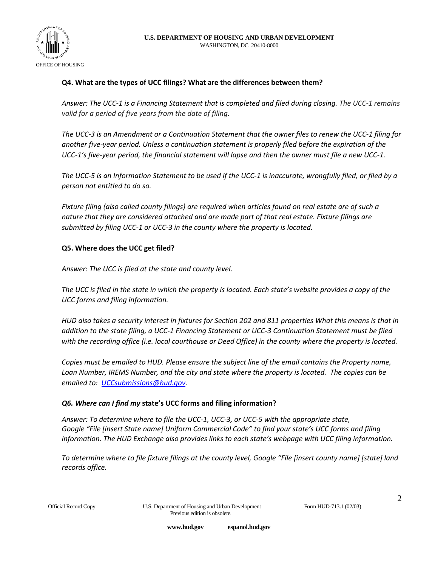

#### **Q4. What are the types of UCC filings? What are the differences between them?**

*Answer: The UCC-1 is a Financing Statement that is completed and filed during closing. The UCC-1 remains valid for a period of five years from the date of filing.*

*The UCC-3 is an Amendment or a Continuation Statement that the owner files to renew the UCC-1 filing for another five-year period. Unless a continuation statement is properly filed before the expiration of the UCC-1's five-year period, the financial statement will lapse and then the owner must file a new UCC-1.* 

*The UCC-5 is an Information Statement to be used if the UCC-1 is inaccurate, wrongfully filed, or filed by a person not entitled to do so.*

*Fixture filing (also called county filings) are required when articles found on real estate are of such a nature that they are considered attached and are made part of that real estate. Fixture filings are submitted by filing UCC-1 or UCC-3 in the county where the property is located.* 

#### **Q5. Where does the UCC get filed?**

*Answer: The UCC is filed at the state and county level.* 

*The UCC is filed in the state in which the property is located. Each state's website provides a copy of the UCC forms and filing information.* 

*HUD also takes a security interest in fixtures for Section 202 and 811 properties What this means is that in addition to the state filing, a UCC-1 Financing Statement or UCC-3 Continuation Statement must be filed with the recording office (i.e. local courthouse or Deed Office) in the county where the property is located.* 

*Copies must be emailed to HUD. Please ensure the subject line of the email contains the Property name, Loan Number, IREMS Number, and the city and state where the property is located. The copies can be emailed to: [UCCsubmissions@hud.gov.](mailto:UCCsubmissions@hud.gov)* 

# *Q6. Where can I find my* **state's UCC forms and filing information?**

*Answer: To determine where to file the UCC-1, UCC-3, or UCC-5 with the appropriate state, Google "File [insert State name] Uniform Commercial Code" to find your state's UCC forms and filing information. The HUD Exchange also provides links to each state's webpage with UCC filing information.*

*To determine where to file fixture filings at the county level, Google "File [insert county name] [state] land records office.*